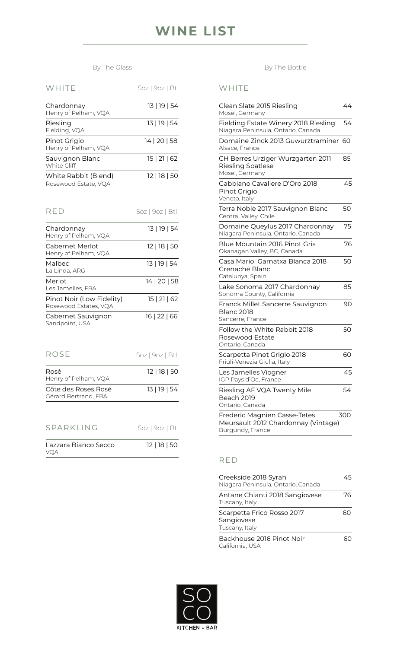## By The Glass

| WHITE                                              | 5oz   9oz   Btl |
|----------------------------------------------------|-----------------|
| Chardonnay<br>Henry of Pelham, VQA                 | 13   19   54    |
| Riesling<br>Fielding, VQA                          | 13   19   54    |
| Pinot Grigio<br>Henry of Pelham, VQA               | 14   20   58    |
| Sauvignon Blanc<br><b>White Cliff</b>              | 15   21   62    |
| White Rabbit (Blend)<br>Rosewood Estate, VQA       | 12   18   50    |
| RED                                                | 5oz   9oz   Btl |
| Chardonnay<br>Henry of Pelham, VQA                 | 13   19   54    |
| Cabernet Merlot<br>Henry of Pelham, VQA            | 12   18   50    |
| Malbec<br>La Linda, ARG                            | 13   19   54    |
| Merlot<br>Les Jamelles, FRA                        | 14   20   58    |
| Pinot Noir (Low Fidelity)<br>Rosewood Estates, VQA | 15   21   62    |
| Cabernet Sauvignon<br>Sandpoint, USA               | 16   22   66    |
| <b>ROSE</b>                                        | 5oz   9oz   Btl |
| Rosé<br>Henry of Pelham, VQA                       | 12   18   50    |
| Côte des Roses Rosé<br>Gérard Bertrand, FRA        | 13   19   54    |
| SPARKLING                                          | 5oz   9oz   Btl |

| Lazzara Bianco Secco | 12   18   50 |
|----------------------|--------------|
| VOA                  |              |

## By The Bottle

### WHITE

| Clean Slate 2015 Riesling<br>Mosel, Germany                                             | 44  |
|-----------------------------------------------------------------------------------------|-----|
| Fielding Estate Winery 2018 Riesling<br>Niagara Peninsula, Ontario, Canada              | 54  |
| Domaine Zinck 2013 Guwurztraminer<br>Alsace, France                                     | 60  |
| CH Berres Urziger Wurzgarten 2011<br><b>Riesling Spatlese</b><br>Mosel, Germany         | 85  |
| Gabbiano Cavaliere D'Oro 2018<br>Pinot Griaio<br>Veneto, Italy                          | 45  |
| Terra Noble 2017 Sauvignon Blanc<br>Central Valley, Chile                               | 50  |
| Domaine Queylus 2017 Chardonnay<br>Niagara Peninsula, Ontario, Canada                   | 75  |
| Blue Mountain 2016 Pinot Gris<br>Okanagan Valley, BC, Canada                            | 76  |
| Casa Mariol Garnatxa Blanca 2018<br>Grenache Blanc<br>Catalunya, Spain                  | 50  |
| Lake Sonoma 2017 Chardonnay<br>Sonoma County, California                                | 85  |
| Franck Millet Sancerre Sauvignon<br><b>Blanc 2018</b><br>Sancerre, France               | 90  |
| Follow the White Rabbit 2018<br>Rosewood Estate<br>Ontario, Canada                      | 50  |
| Scarpetta Pinot Grigio 2018<br>Friuli-Venezia Giulia, Italy                             | 60  |
| Les Jamelles Viogner<br>IGP Pays d'Oc, France                                           | 45  |
| Riesling AF VQA Twenty Mile<br>Beach 2019<br>Ontario, Canada                            | 54  |
| Frederic Magnien Casse-Tetes<br>Meursault 2012 Chardonnay (Vintage)<br>Burgundy, France | 300 |

### RED

| Creekside 2018 Syrah<br>Niagara Peninsula, Ontario, Canada | ⊥∽ |
|------------------------------------------------------------|----|
| Antane Chianti 2018 Sangiovese<br>Tuscany, Italy           | 76 |
| Scarpetta Frico Rosso 2017<br>Sangiovese<br>Tuscany, Italy |    |
| Backhouse 2016 Pinot Noir<br>California, USA               |    |